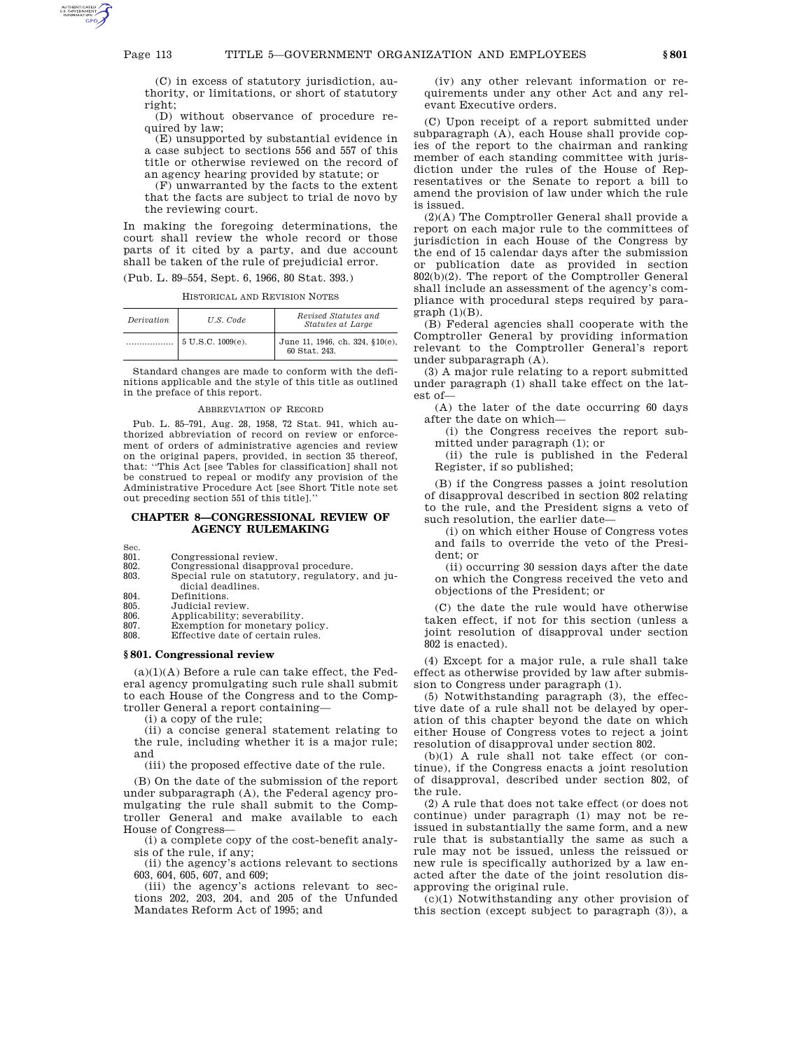(C) in excess of statutory jurisdiction, authority, or limitations, or short of statutory right;

 $(D)$  without observance of procedure required by law;

(E) unsupported by substantial evidence in a case subject to sections 556 and 557 of this title or otherwise reviewed on the record of an agency hearing provided by statute; or

(F) unwarranted by the facts to the extent that the facts are subject to trial de novo by the reviewing court.

In making the foregoing determinations, the court shall review the whole record or those parts of it cited by a party, and due account shall be taken of the rule of prejudicial error.

(Pub. L. 89–554, Sept. 6, 1966, 80 Stat. 393.)

HISTORICAL AND REVISION NOTES

| Derivation | U.S. Code                     | Revised Statutes and<br>Statutes at Large        |
|------------|-------------------------------|--------------------------------------------------|
|            | $5 \text{ U.S.C. } 1009(e)$ . | June 11, 1946, ch. 324, §10(e),<br>60 Stat. 243. |

Standard changes are made to conform with the definitions applicable and the style of this title as outlined in the preface of this report.

### ABBREVIATION OF RECORD

Pub. L. 85–791, Aug. 28, 1958, 72 Stat. 941, which authorized abbreviation of record on review or enforcement of orders of administrative agencies and review on the original papers, provided, in section 35 thereof, that: ''This Act [see Tables for classification] shall not be construed to repeal or modify any provision of the Administrative Procedure Act [see Short Title note set out preceding section 551 of this title].''

# **CHAPTER 8—CONGRESSIONAL REVIEW OF AGENCY RULEMAKING**

Sec.<br>801.

- 801. Congressional review.<br>802. Congressional disappr
- 802. Congressional disapproval procedure. Special rule on statutory, regulatory, and ju-
- dicial deadlines.
- 804. Definitions.<br>805. Judicial rev
- 805. Judicial review.<br>806. Applicability: se
- 806. Applicability; severability. Exemption for monetary policy.
- 808. Effective date of certain rules.

# **§ 801. Congressional review**

 $(a)(1)(A)$  Before a rule can take effect, the Federal agency promulgating such rule shall submit to each House of the Congress and to the Comptroller General a report containing—

(i) a copy of the rule;

(ii) a concise general statement relating to the rule, including whether it is a major rule; and

(iii) the proposed effective date of the rule.

(B) On the date of the submission of the report under subparagraph (A), the Federal agency promulgating the rule shall submit to the Comptroller General and make available to each House of Congress—

(i) a complete copy of the cost-benefit analysis of the rule, if any;

(ii) the agency's actions relevant to sections 603, 604, 605, 607, and 609;

(iii) the agency's actions relevant to sections 202, 203, 204, and 205 of the Unfunded Mandates Reform Act of 1995; and

(iv) any other relevant information or requirements under any other Act and any relevant Executive orders.

(C) Upon receipt of a report submitted under subparagraph (A), each House shall provide copies of the report to the chairman and ranking member of each standing committee with jurisdiction under the rules of the House of Representatives or the Senate to report a bill to amend the provision of law under which the rule is issued.

(2)(A) The Comptroller General shall provide a report on each major rule to the committees of jurisdiction in each House of the Congress by the end of 15 calendar days after the submission or publication date as provided in section  $802(b)(2)$ . The report of the Comptroller General shall include an assessment of the agency's compliance with procedural steps required by para $graph (1)(B)$ .

(B) Federal agencies shall cooperate with the Comptroller General by providing information relevant to the Comptroller General's report under subparagraph (A).

(3) A major rule relating to a report submitted under paragraph (1) shall take effect on the latest of—

(A) the later of the date occurring 60 days after the date on which—

(i) the Congress receives the report submitted under paragraph (1); or

(ii) the rule is published in the Federal Register, if so published;

(B) if the Congress passes a joint resolution of disapproval described in section 802 relating to the rule, and the President signs a veto of such resolution, the earlier date—

(i) on which either House of Congress votes and fails to override the veto of the President; or

(ii) occurring 30 session days after the date on which the Congress received the veto and objections of the President; or

(C) the date the rule would have otherwise taken effect, if not for this section (unless a joint resolution of disapproval under section 802 is enacted).

(4) Except for a major rule, a rule shall take effect as otherwise provided by law after submission to Congress under paragraph (1).

(5) Notwithstanding paragraph (3), the effective date of a rule shall not be delayed by operation of this chapter beyond the date on which either House of Congress votes to reject a joint resolution of disapproval under section 802.

(b)(1) A rule shall not take effect (or continue), if the Congress enacts a joint resolution of disapproval, described under section 802, of the rule.

(2) A rule that does not take effect (or does not continue) under paragraph (1) may not be reissued in substantially the same form, and a new rule that is substantially the same as such a rule may not be issued, unless the reissued or new rule is specifically authorized by a law enacted after the date of the joint resolution disapproving the original rule.

(c)(1) Notwithstanding any other provision of this section (except subject to paragraph (3)), a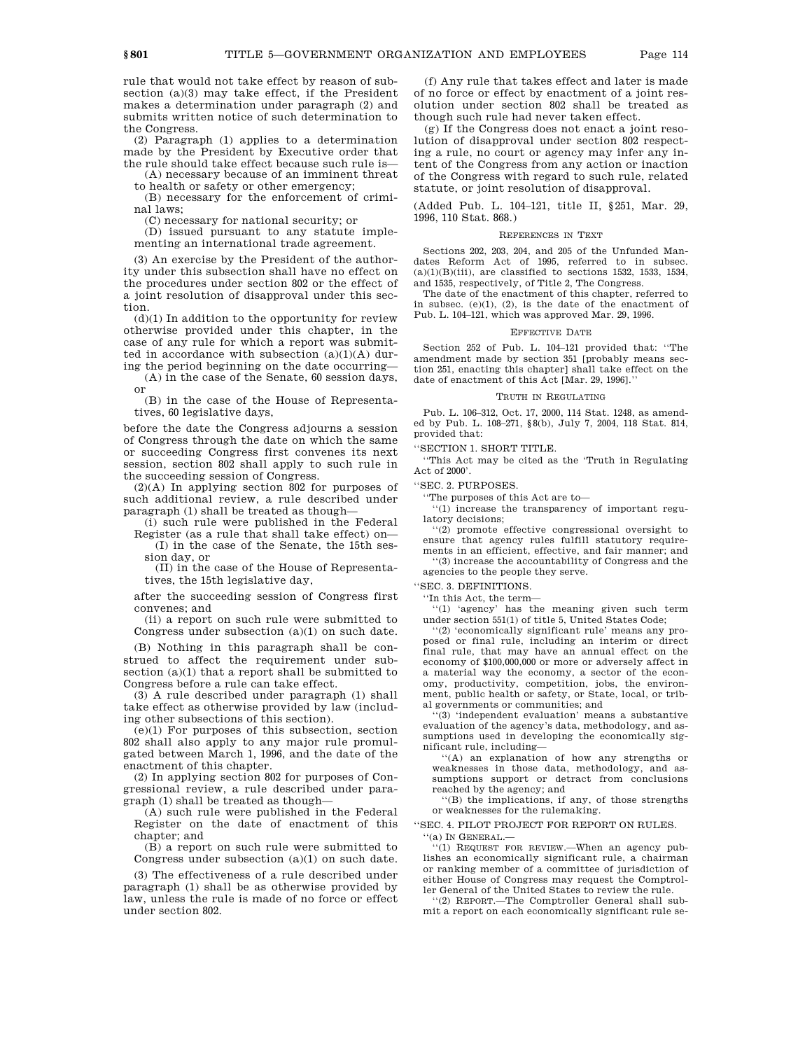rule that would not take effect by reason of subsection (a)(3) may take effect, if the President makes a determination under paragraph (2) and submits written notice of such determination to the Congress.

(2) Paragraph (1) applies to a determination made by the President by Executive order that the rule should take effect because such rule is—

(A) necessary because of an imminent threat to health or safety or other emergency;

(B) necessary for the enforcement of crimi-

nal laws; (C) necessary for national security; or

(D) issued pursuant to any statute implementing an international trade agreement.

(3) An exercise by the President of the authority under this subsection shall have no effect on the procedures under section 802 or the effect of a joint resolution of disapproval under this section.

 $(d)(1)$  In addition to the opportunity for review otherwise provided under this chapter, in the case of any rule for which a report was submitted in accordance with subsection  $(a)(1)(A)$  during the period beginning on the date occurring—

(A) in the case of the Senate, 60 session days, or

(B) in the case of the House of Representatives, 60 legislative days,

before the date the Congress adjourns a session of Congress through the date on which the same or succeeding Congress first convenes its next session, section 802 shall apply to such rule in the succeeding session of Congress.

(2)(A) In applying section 802 for purposes of such additional review, a rule described under paragraph (1) shall be treated as though—

(i) such rule were published in the Federal Register (as a rule that shall take effect) on— (I) in the case of the Senate, the 15th ses-

sion day, or (II) in the case of the House of Representa-

tives, the 15th legislative day,

after the succeeding session of Congress first convenes; and

(ii) a report on such rule were submitted to Congress under subsection (a)(1) on such date.

(B) Nothing in this paragraph shall be construed to affect the requirement under subsection (a)(1) that a report shall be submitted to Congress before a rule can take effect.

(3) A rule described under paragraph (1) shall take effect as otherwise provided by law (including other subsections of this section).

(e)(1) For purposes of this subsection, section 802 shall also apply to any major rule promulgated between March 1, 1996, and the date of the enactment of this chapter.

(2) In applying section 802 for purposes of Congressional review, a rule described under paragraph (1) shall be treated as though—

(A) such rule were published in the Federal Register on the date of enactment of this chapter; and

(B) a report on such rule were submitted to Congress under subsection (a)(1) on such date.

(3) The effectiveness of a rule described under paragraph (1) shall be as otherwise provided by law, unless the rule is made of no force or effect under section 802.

(f) Any rule that takes effect and later is made of no force or effect by enactment of a joint resolution under section 802 shall be treated as though such rule had never taken effect.

(g) If the Congress does not enact a joint resolution of disapproval under section 802 respecting a rule, no court or agency may infer any intent of the Congress from any action or inaction of the Congress with regard to such rule, related statute, or joint resolution of disapproval.

(Added Pub. L. 104–121, title II, §251, Mar. 29, 1996, 110 Stat. 868.)

## REFERENCES IN TEXT

Sections 202, 203, 204, and 205 of the Unfunded Mandates Reform Act of 1995, referred to in subsec.  $(a)(1)(B)(iii)$ , are classified to sections 1532, 1533, 1534, and 1535, respectively, of Title 2, The Congress.

The date of the enactment of this chapter, referred to in subsec.  $(e)(1)$ ,  $(2)$ , is the date of the enactment of Pub. L. 104–121, which was approved Mar. 29, 1996.

### EFFECTIVE DATE

Section 252 of Pub. L. 104–121 provided that: ''The amendment made by section 351 [probably means section 251, enacting this chapter] shall take effect on the date of enactment of this Act [Mar. 29, 1996].''

#### TRUTH IN REGULATING

Pub. L. 106–312, Oct. 17, 2000, 114 Stat. 1248, as amended by Pub. L. 108–271, §8(b), July 7, 2004, 118 Stat. 814, provided that:

'SECTION 1. SHORT TITLE.

''This Act may be cited as the 'Truth in Regulating Act of 2000'.

''SEC. 2. PURPOSES.

''The purposes of this Act are to—

''(1) increase the transparency of important regulatory decisions;

''(2) promote effective congressional oversight to ensure that agency rules fulfill statutory requirements in an efficient, effective, and fair manner; and

''(3) increase the accountability of Congress and the agencies to the people they serve.

''SEC. 3. DEFINITIONS.

''In this Act, the term—

''(1) 'agency' has the meaning given such term under section 551(1) of title 5, United States Code;

''(2) 'economically significant rule' means any proposed or final rule, including an interim or direct final rule, that may have an annual effect on the economy of \$100,000,000 or more or adversely affect in a material way the economy, a sector of the economy, productivity, competition, jobs, the environment, public health or safety, or State, local, or tribal governments or communities; and

''(3) 'independent evaluation' means a substantive evaluation of the agency's data, methodology, and assumptions used in developing the economically significant rule, including—

''(A) an explanation of how any strengths or weaknesses in those data, methodology, and assumptions support or detract from conclusions reached by the agency; and

''(B) the implications, if any, of those strengths or weaknesses for the rulemaking.

''SEC. 4. PILOT PROJECT FOR REPORT ON RULES. ''(a) IN GENERAL.—

 $(1)$  REQUEST FOR REVIEW.—When an agency publishes an economically significant rule, a chairman or ranking member of a committee of jurisdiction of either House of Congress may request the Comptroller General of the United States to review the rule.

''(2) REPORT.—The Comptroller General shall submit a report on each economically significant rule se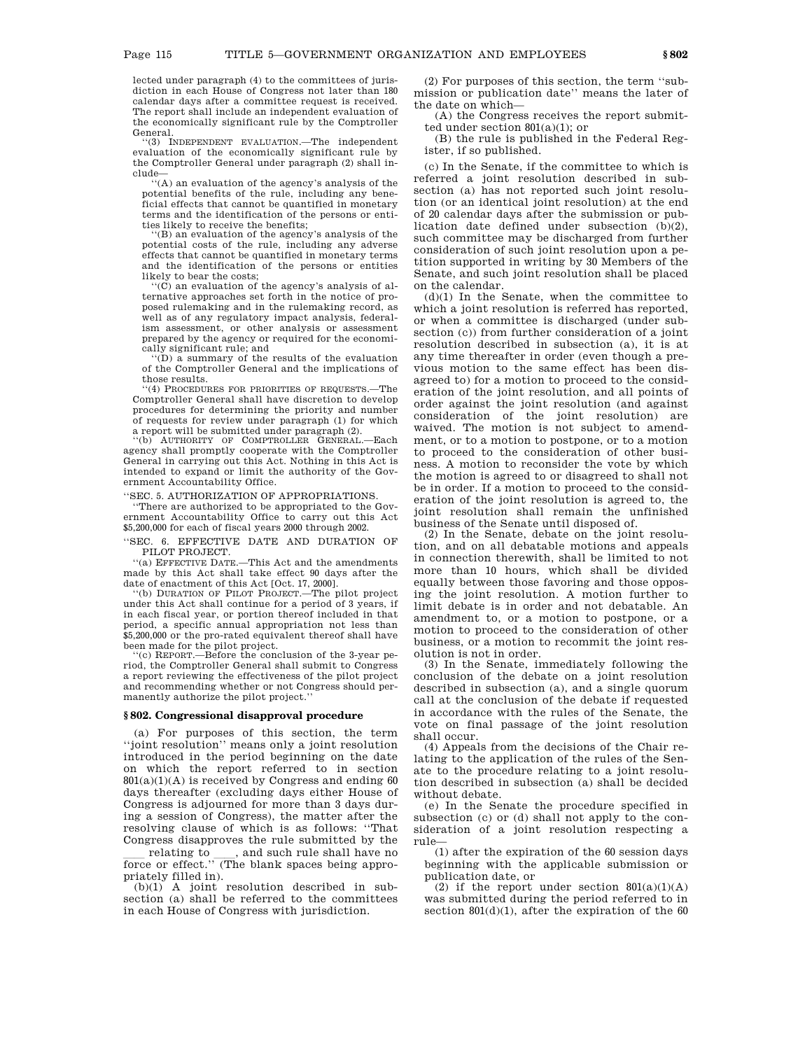lected under paragraph (4) to the committees of jurisdiction in each House of Congress not later than 180 calendar days after a committee request is received. The report shall include an independent evaluation of the economically significant rule by the Comptroller General.

''(3) INDEPENDENT EVALUATION.—The independent evaluation of the economically significant rule by the Comptroller General under paragraph (2) shall include— ''(A) an evaluation of the agency's analysis of the

potential benefits of the rule, including any beneficial effects that cannot be quantified in monetary terms and the identification of the persons or entities likely to receive the benefits;

(B) an evaluation of the agency's analysis of the potential costs of the rule, including any adverse effects that cannot be quantified in monetary terms and the identification of the persons or entities likely to bear the costs;

''(C) an evaluation of the agency's analysis of alternative approaches set forth in the notice of proposed rulemaking and in the rulemaking record, as well as of any regulatory impact analysis, federalism assessment, or other analysis or assessment prepared by the agency or required for the economically significant rule; and

''(D) a summary of the results of the evaluation of the Comptroller General and the implications of those results.

''(4) PROCEDURES FOR PRIORITIES OF REQUESTS.—The Comptroller General shall have discretion to develop procedures for determining the priority and number of requests for review under paragraph (1) for which

a report will be submitted under paragraph (2). ''(b) AUTHORITY OF COMPTROLLER GENERAL.—Each agency shall promptly cooperate with the Comptroller General in carrying out this Act. Nothing in this Act is intended to expand or limit the authority of the Government Accountability Office.

''SEC. 5. AUTHORIZATION OF APPROPRIATIONS.

''There are authorized to be appropriated to the Government Accountability Office to carry out this Act \$5,200,000 for each of fiscal years 2000 through 2002.

''SEC. 6. EFFECTIVE DATE AND DURATION OF PILOT PROJECT.

''(a) EFFECTIVE DATE.—This Act and the amendments made by this Act shall take effect 90 days after the date of enactment of this Act [Oct. 17, 2000].

''(b) DURATION OF PILOT PROJECT.—The pilot project under this Act shall continue for a period of 3 years, if in each fiscal year, or portion thereof included in that period, a specific annual appropriation not less than \$5,200,000 or the pro-rated equivalent thereof shall have been made for the pilot project.<br>"(c) REPORT.—Before the conclusion of the 3-year pe-

riod, the Comptroller General shall submit to Congress a report reviewing the effectiveness of the pilot project and recommending whether or not Congress should permanently authorize the pilot project.''

# **§ 802. Congressional disapproval procedure**

(a) For purposes of this section, the term ''joint resolution'' means only a joint resolution introduced in the period beginning on the date on which the report referred to in section  $801(a)(1)(A)$  is received by Congress and ending 60 days thereafter (excluding days either House of Congress is adjourned for more than 3 days during a session of Congress), the matter after the resolving clause of which is as follows: ''That Congress disapproves the rule submitted by the

relating to <sub>ca</sub>, and such rule shall have no<br>force or effect.'' (The blank spaces being appropriately filled in).

(b)(1) A joint resolution described in subsection (a) shall be referred to the committees in each House of Congress with jurisdiction.

(2) For purposes of this section, the term ''submission or publication date'' means the later of the date on which—

(A) the Congress receives the report submitted under section 801(a)(1); or

(B) the rule is published in the Federal Register, if so published.

(c) In the Senate, if the committee to which is referred a joint resolution described in subsection (a) has not reported such joint resolution (or an identical joint resolution) at the end of 20 calendar days after the submission or publication date defined under subsection (b)(2), such committee may be discharged from further consideration of such joint resolution upon a petition supported in writing by 30 Members of the Senate, and such joint resolution shall be placed on the calendar.

(d)(1) In the Senate, when the committee to which a joint resolution is referred has reported, or when a committee is discharged (under subsection (c)) from further consideration of a joint resolution described in subsection (a), it is at any time thereafter in order (even though a previous motion to the same effect has been disagreed to) for a motion to proceed to the consideration of the joint resolution, and all points of order against the joint resolution (and against consideration of the joint resolution) are waived. The motion is not subject to amendment, or to a motion to postpone, or to a motion to proceed to the consideration of other business. A motion to reconsider the vote by which the motion is agreed to or disagreed to shall not be in order. If a motion to proceed to the consideration of the joint resolution is agreed to, the joint resolution shall remain the unfinished business of the Senate until disposed of.

(2) In the Senate, debate on the joint resolution, and on all debatable motions and appeals in connection therewith, shall be limited to not more than 10 hours, which shall be divided equally between those favoring and those opposing the joint resolution. A motion further to limit debate is in order and not debatable. An amendment to, or a motion to postpone, or a motion to proceed to the consideration of other business, or a motion to recommit the joint resolution is not in order.

(3) In the Senate, immediately following the conclusion of the debate on a joint resolution described in subsection (a), and a single quorum call at the conclusion of the debate if requested in accordance with the rules of the Senate, the vote on final passage of the joint resolution shall occur.

(4) Appeals from the decisions of the Chair relating to the application of the rules of the Senate to the procedure relating to a joint resolution described in subsection (a) shall be decided without debate.

(e) In the Senate the procedure specified in subsection (c) or (d) shall not apply to the consideration of a joint resolution respecting a rule—

(1) after the expiration of the 60 session days beginning with the applicable submission or publication date, or

(2) if the report under section  $801(a)(1)(A)$ was submitted during the period referred to in section  $801(d)(1)$ , after the expiration of the 60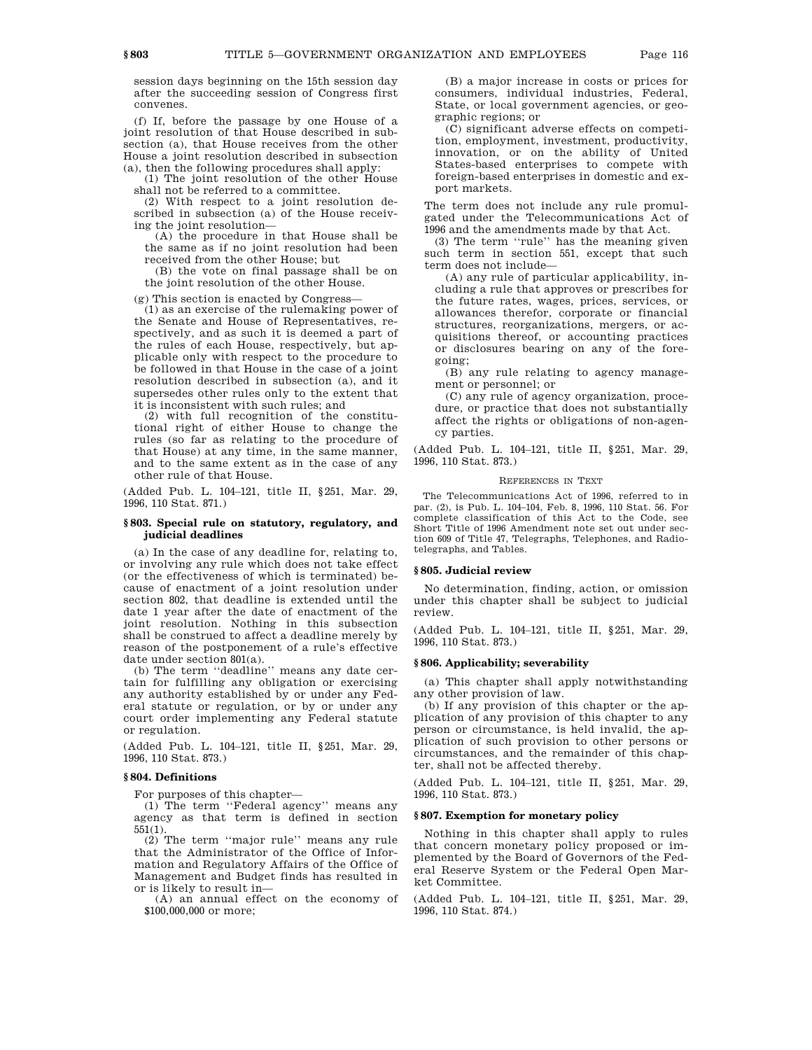session days beginning on the 15th session day after the succeeding session of Congress first convenes.

(f) If, before the passage by one House of a joint resolution of that House described in subsection (a), that House receives from the other House a joint resolution described in subsection (a), then the following procedures shall apply:

(1) The joint resolution of the other House shall not be referred to a committee.

(2) With respect to a joint resolution described in subsection (a) of the House receiving the joint resolution—

(A) the procedure in that House shall be the same as if no joint resolution had been received from the other House; but

(B) the vote on final passage shall be on the joint resolution of the other House.

(g) This section is enacted by Congress—

(1) as an exercise of the rulemaking power of the Senate and House of Representatives, respectively, and as such it is deemed a part of the rules of each House, respectively, but applicable only with respect to the procedure to be followed in that House in the case of a joint resolution described in subsection (a), and it supersedes other rules only to the extent that it is inconsistent with such rules; and

(2) with full recognition of the constitutional right of either House to change the rules (so far as relating to the procedure of that House) at any time, in the same manner, and to the same extent as in the case of any other rule of that House.

(Added Pub. L. 104–121, title II, §251, Mar. 29, 1996, 110 Stat. 871.)

## **§ 803. Special rule on statutory, regulatory, and judicial deadlines**

(a) In the case of any deadline for, relating to, or involving any rule which does not take effect (or the effectiveness of which is terminated) because of enactment of a joint resolution under section 802, that deadline is extended until the date 1 year after the date of enactment of the joint resolution. Nothing in this subsection shall be construed to affect a deadline merely by reason of the postponement of a rule's effective date under section 801(a).

(b) The term ''deadline'' means any date certain for fulfilling any obligation or exercising any authority established by or under any Federal statute or regulation, or by or under any court order implementing any Federal statute or regulation.

(Added Pub. L. 104–121, title II, §251, Mar. 29, 1996, 110 Stat. 873.)

# **§ 804. Definitions**

For purposes of this chapter—

(1) The term ''Federal agency'' means any agency as that term is defined in section 551(1).

(2) The term ''major rule'' means any rule that the Administrator of the Office of Information and Regulatory Affairs of the Office of Management and Budget finds has resulted in or is likely to result in—

(A) an annual effect on the economy of \$100,000,000 or more;

(B) a major increase in costs or prices for consumers, individual industries, Federal, State, or local government agencies, or geographic regions; or

(C) significant adverse effects on competition, employment, investment, productivity, innovation, or on the ability of United States-based enterprises to compete with foreign-based enterprises in domestic and export markets.

The term does not include any rule promulgated under the Telecommunications Act of 1996 and the amendments made by that Act.

(3) The term ''rule'' has the meaning given such term in section 551, except that such term does not include—

(A) any rule of particular applicability, including a rule that approves or prescribes for the future rates, wages, prices, services, or allowances therefor, corporate or financial structures, reorganizations, mergers, or acquisitions thereof, or accounting practices or disclosures bearing on any of the foregoing;

(B) any rule relating to agency management or personnel; or

(C) any rule of agency organization, procedure, or practice that does not substantially affect the rights or obligations of non-agency parties.

(Added Pub. L. 104–121, title II, §251, Mar. 29, 1996, 110 Stat. 873.)

#### REFERENCES IN TEXT

The Telecommunications Act of 1996, referred to in par. (2), is Pub. L. 104–104, Feb. 8, 1996, 110 Stat. 56. For complete classification of this Act to the Code, see Short Title of 1996 Amendment note set out under section 609 of Title 47, Telegraphs, Telephones, and Radiotelegraphs, and Tables.

### **§ 805. Judicial review**

No determination, finding, action, or omission under this chapter shall be subject to judicial review.

(Added Pub. L. 104–121, title II, §251, Mar. 29, 1996, 110 Stat. 873.)

### **§ 806. Applicability; severability**

(a) This chapter shall apply notwithstanding any other provision of law.

(b) If any provision of this chapter or the application of any provision of this chapter to any person or circumstance, is held invalid, the application of such provision to other persons or circumstances, and the remainder of this chapter, shall not be affected thereby.

(Added Pub. L. 104–121, title II, §251, Mar. 29, 1996, 110 Stat. 873.)

# **§ 807. Exemption for monetary policy**

Nothing in this chapter shall apply to rules that concern monetary policy proposed or implemented by the Board of Governors of the Federal Reserve System or the Federal Open Market Committee.

(Added Pub. L. 104–121, title II, §251, Mar. 29, 1996, 110 Stat. 874.)